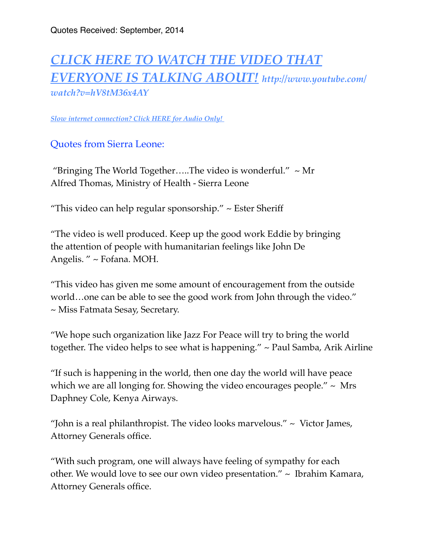## *[CLICK HERE TO WATCH THE VIDEO THAT](https://www.youtube.com/watch?v=hV8tM36x4AY)  [EVERYONE IS TALKING ABOUT!](http://www.youtube.com/watch?v=hV8tM36x4AY) http://www.youtube.com/ watch?v=hV8tM36x4AY*

*[Slow internet connection? Click HERE for Audio Only!](http://missionsradio.podbean.com/e/interview-with-rick-dellaratta-of-founder-of-jazz-4-peace/)* 

Quotes from Sierra Leone:

"Bringing The World Together.....The video is wonderful."  $\sim$  Mr Alfred Thomas, Ministry of Health - Sierra Leone

"This video can help regular sponsorship."  $\sim$  Ester Sheriff

"The video is well produced. Keep up the good work Eddie by bringing the attention of people with humanitarian feelings like John De Angelis. " ~ Fofana. MOH.

"This video has given me some amount of encouragement from the outside world…one can be able to see the good work from John through the video."  $\sim$  Miss Fatmata Sesay, Secretary.

"We hope such organization like Jazz For Peace will try to bring the world together. The video helps to see what is happening." ~ Paul Samba, Arik Airline

"If such is happening in the world, then one day the world will have peace which we are all longing for. Showing the video encourages people."  $\sim$  Mrs Daphney Cole, Kenya Airways.

"John is a real philanthropist. The video looks marvelous." ~ Victor James, Attorney Generals office.

"With such program, one will always have feeling of sympathy for each other. We would love to see our own video presentation." ~ Ibrahim Kamara, Attorney Generals office.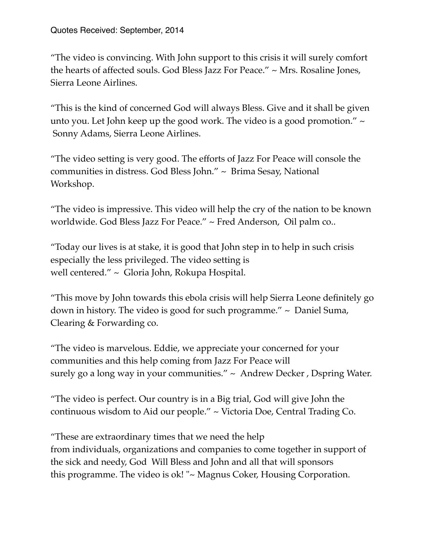"The video is convincing. With John support to this crisis it will surely comfort the hearts of affected souls. God Bless Jazz For Peace." ~ Mrs. Rosaline Jones, Sierra Leone Airlines.

"This is the kind of concerned God will always Bless. Give and it shall be given unto you. Let John keep up the good work. The video is a good promotion." ~ Sonny Adams, Sierra Leone Airlines.

"The video setting is very good. The efforts of Jazz For Peace will console the communities in distress. God Bless John." ~ Brima Sesay, National Workshop.

"The video is impressive. This video will help the cry of the nation to be known worldwide. God Bless Jazz For Peace." ~ Fred Anderson, Oil palm co..

"Today our lives is at stake, it is good that John step in to help in such crisis especially the less privileged. The video setting is well centered." ~ Gloria John, Rokupa Hospital.

"This move by John towards this ebola crisis will help Sierra Leone definitely go down in history. The video is good for such programme." ~ Daniel Suma, Clearing & Forwarding co.

"The video is marvelous. Eddie, we appreciate your concerned for your communities and this help coming from Jazz For Peace will surely go a long way in your communities."  $\sim$  Andrew Decker, Dspring Water.

"The video is perfect. Our country is in a Big trial, God will give John the continuous wisdom to Aid our people." ~ Victoria Doe, Central Trading Co.

"These are extraordinary times that we need the help from individuals, organizations and companies to come together in support of the sick and needy, God Will Bless and John and all that will sponsors this programme. The video is ok! "~ Magnus Coker, Housing Corporation.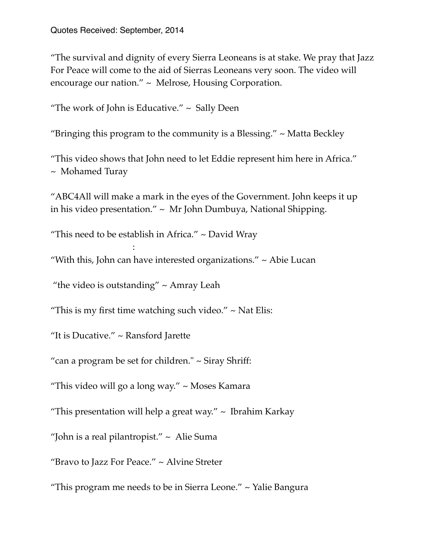"The survival and dignity of every Sierra Leoneans is at stake. We pray that Jazz For Peace will come to the aid of Sierras Leoneans very soon. The video will encourage our nation." ~ Melrose, Housing Corporation.

"The work of John is Educative."  $\sim$  Sally Deen

"Bringing this program to the community is a Blessing."  $\sim$  Matta Beckley

"This video shows that John need to let Eddie represent him here in Africa." ~ Mohamed Turay

"ABC4All will make a mark in the eyes of the Government. John keeps it up in his video presentation."  $\sim$  Mr John Dumbuya, National Shipping.

"This need to be establish in Africa."  $\sim$  David Wray

"With this, John can have interested organizations."  $\sim$  Abie Lucan

"the video is outstanding"  $\sim$  Amray Leah

:  $\mathbb{R}^n$ 

"This is my first time watching such video."  $\sim$  Nat Elis:

"It is Ducative." ~ Ransford Jarette

"can a program be set for children."  $\sim$  Siray Shriff:

"This video will go a long way." ~ Moses Kamara

"This presentation will help a great way."  $\sim$  Ibrahim Karkay

"John is a real pilantropist."  $\sim$  Alie Suma

"Bravo to Jazz For Peace." ~ Alvine Streter

"This program me needs to be in Sierra Leone." ~ Yalie Bangura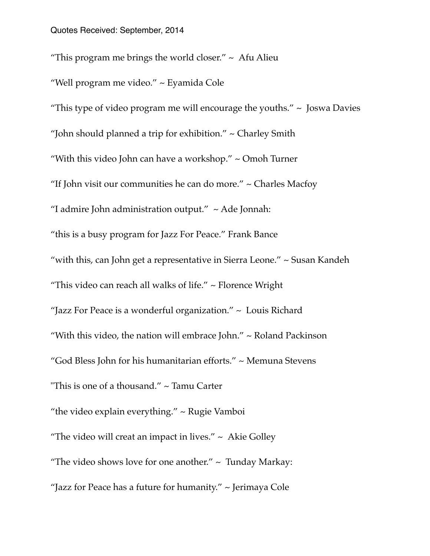"This program me brings the world closer."  $\sim$  Afu Alieu "Well program me video." ~ Eyamida Cole "This type of video program me will encourage the youths."  $\sim$  Joswa Davies "John should planned a trip for exhibition." ~ Charley Smith "With this video John can have a workshop." ~ Omoh Turner "If John visit our communities he can do more." ~ Charles Macfoy "I admire John administration output."  $\sim$  Ade Jonnah: "this is a busy program for Jazz For Peace." Frank Bance "with this, can John get a representative in Sierra Leone." ~ Susan Kandeh "This video can reach all walks of life." ~ Florence Wright "Jazz For Peace is a wonderful organization." ~ Louis Richard "With this video, the nation will embrace John." ~ Roland Packinson "God Bless John for his humanitarian efforts." ~ Memuna Stevens "This is one of a thousand." ~ Tamu Carter "the video explain everything."  $\sim$  Rugie Vamboi "The video will creat an impact in lives."  $\sim$  Akie Golley "The video shows love for one another."  $\sim$  Tunday Markay: "Jazz for Peace has a future for humanity." ~ Jerimaya Cole